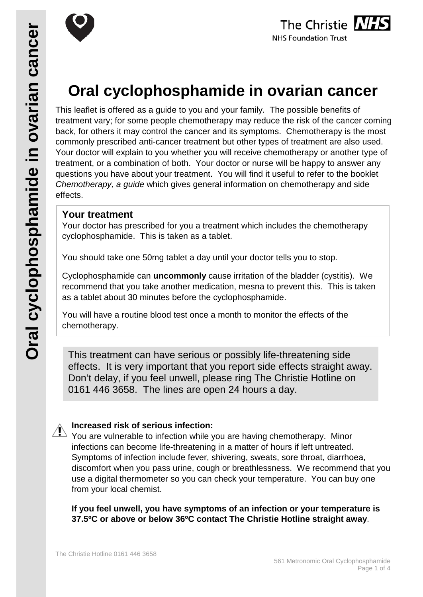



# **Oral cyclophosphamide in ovarian cancer**

This leaflet is offered as a guide to you and your family. The possible benefits of treatment vary; for some people chemotherapy may reduce the risk of the cancer coming back, for others it may control the cancer and its symptoms. Chemotherapy is the most commonly prescribed anti-cancer treatment but other types of treatment are also used. Your doctor will explain to you whether you will receive chemotherapy or another type of treatment, or a combination of both. Your doctor or nurse will be happy to answer any questions you have about your treatment. You will find it useful to refer to the booklet *Chemotherapy, a guide* which gives general information on chemotherapy and side effects.

# **Your treatment**

Your doctor has prescribed for you a treatment which includes the chemotherapy cyclophosphamide. This is taken as a tablet.

You should take one 50mg tablet a day until your doctor tells you to stop.

Cyclophosphamide can **uncommonly** cause irritation of the bladder (cystitis). We recommend that you take another medication, mesna to prevent this. This is taken as a tablet about 30 minutes before the cyclophosphamide.

You will have a routine blood test once a month to monitor the effects of the chemotherapy.

This treatment can have serious or possibly life-threatening side effects. It is very important that you report side effects straight away. Don't delay, if you feel unwell, please ring The Christie Hotline on 0161 446 3658. The lines are open 24 hours a day.

## **Increased risk of serious infection:**

 $\sqrt{N}$  You are vulnerable to infection while you are having chemotherapy. Minor infections can become life-threatening in a matter of hours if left untreated. Symptoms of infection include fever, shivering, sweats, sore throat, diarrhoea, discomfort when you pass urine, cough or breathlessness. We recommend that you use a digital thermometer so you can check your temperature. You can buy one from your local chemist.

**If you feel unwell, you have symptoms of an infection or your temperature is 37.5ºC or above or below 36ºC contact The Christie Hotline straight away**.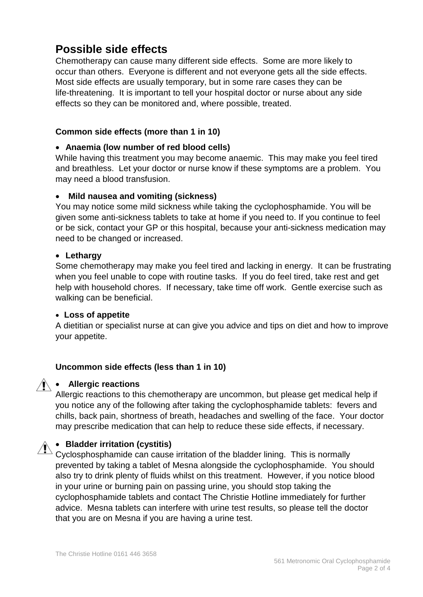# **Possible side effects**

Chemotherapy can cause many different side effects. Some are more likely to occur than others. Everyone is different and not everyone gets all the side effects. Most side effects are usually temporary, but in some rare cases they can be life-threatening. It is important to tell your hospital doctor or nurse about any side effects so they can be monitored and, where possible, treated.

#### **Common side effects (more than 1 in 10)**

#### • **Anaemia (low number of red blood cells)**

While having this treatment you may become anaemic. This may make you feel tired and breathless. Let your doctor or nurse know if these symptoms are a problem. You may need a blood transfusion.

#### • **Mild nausea and vomiting (sickness)**

You may notice some mild sickness while taking the cyclophosphamide. You will be given some anti-sickness tablets to take at home if you need to. If you continue to feel or be sick, contact your GP or this hospital, because your anti-sickness medication may need to be changed or increased.

#### • **Lethargy**

Some chemotherapy may make you feel tired and lacking in energy. It can be frustrating when you feel unable to cope with routine tasks. If you do feel tired, take rest and get help with household chores. If necessary, take time off work. Gentle exercise such as walking can be beneficial.

#### • **Loss of appetite**

A dietitian or specialist nurse at can give you advice and tips on diet and how to improve your appetite.

## **Uncommon side effects (less than 1 in 10)**

#### • **Allergic reactions**

Allergic reactions to this chemotherapy are uncommon, but please get medical help if you notice any of the following after taking the cyclophosphamide tablets: fevers and chills, back pain, shortness of breath, headaches and swelling of the face. Your doctor may prescribe medication that can help to reduce these side effects, if necessary.

## • **Bladder irritation (cystitis)**

Cyclosphosphamide can cause irritation of the bladder lining. This is normally prevented by taking a tablet of Mesna alongside the cyclophosphamide. You should also try to drink plenty of fluids whilst on this treatment. However, if you notice blood in your urine or burning pain on passing urine, you should stop taking the cyclophosphamide tablets and contact The Christie Hotline immediately for further advice. Mesna tablets can interfere with urine test results, so please tell the doctor that you are on Mesna if you are having a urine test.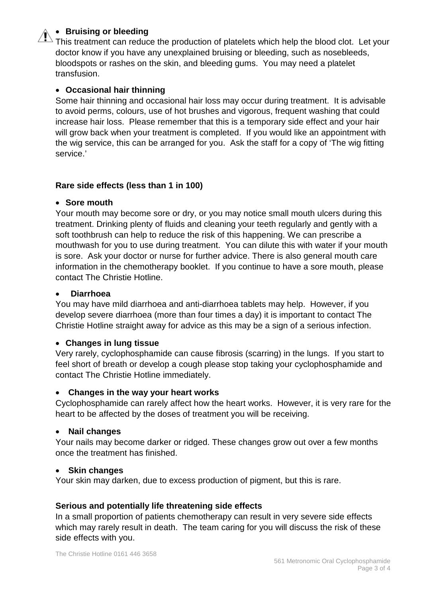## • **Bruising or bleeding**

This treatment can reduce the production of platelets which help the blood clot. Let your doctor know if you have any unexplained bruising or bleeding, such as nosebleeds, bloodspots or rashes on the skin, and bleeding gums. You may need a platelet transfusion.

#### • **Occasional hair thinning**

Some hair thinning and occasional hair loss may occur during treatment. It is advisable to avoid perms, colours, use of hot brushes and vigorous, frequent washing that could increase hair loss. Please remember that this is a temporary side effect and your hair will grow back when your treatment is completed. If you would like an appointment with the wig service, this can be arranged for you. Ask the staff for a copy of 'The wig fitting service.'

#### **Rare side effects (less than 1 in 100)**

#### • **Sore mouth**

Your mouth may become sore or dry, or you may notice small mouth ulcers during this treatment. Drinking plenty of fluids and cleaning your teeth regularly and gently with a soft toothbrush can help to reduce the risk of this happening. We can prescribe a mouthwash for you to use during treatment. You can dilute this with water if your mouth is sore. Ask your doctor or nurse for further advice. There is also general mouth care information in the chemotherapy booklet. If you continue to have a sore mouth, please contact The Christie Hotline.

#### • **Diarrhoea**

You may have mild diarrhoea and anti-diarrhoea tablets may help. However, if you develop severe diarrhoea (more than four times a day) it is important to contact The Christie Hotline straight away for advice as this may be a sign of a serious infection.

#### • **Changes in lung tissue**

Very rarely, cyclophosphamide can cause fibrosis (scarring) in the lungs. If you start to feel short of breath or develop a cough please stop taking your cyclophosphamide and contact The Christie Hotline immediately.

#### • **Changes in the way your heart works**

Cyclophosphamide can rarely affect how the heart works. However, it is very rare for the heart to be affected by the doses of treatment you will be receiving.

#### • **Nail changes**

Your nails may become darker or ridged. These changes grow out over a few months once the treatment has finished.

#### • **Skin changes**

Your skin may darken, due to excess production of pigment, but this is rare.

#### **Serious and potentially life threatening side effects**

In a small proportion of patients chemotherapy can result in very severe side effects which may rarely result in death. The team caring for you will discuss the risk of these side effects with you.